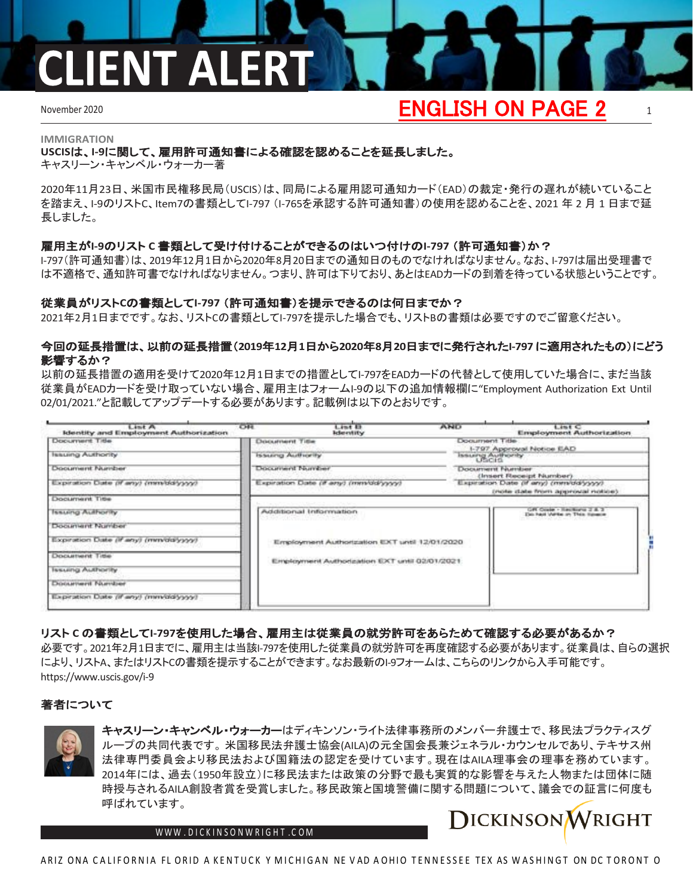## **IENT ALER**

## November 2020 1 ENGLISH ON PAGE 2

### **IMMIGRATION USCIS**は、**I-9**に関して、雇用許可通知書による確認を認めることを延長しました。

キャスリーン・キャンベル・ウォーカー著

2020年11月23日、米国市民権移民局(USCIS)は、同局による雇用認可通知カード(EAD)の裁定・発行の遅れが続いていること を踏まえ、I-9のリストC、Item7の書類としてI-797 (I-765を承認する許可通知書)の使用を認めることを、2021 年 2 月 1 日まで延 長しました。

### 雇用主が**I-9**のリスト **C** 書類として受け付けることができるのはいつ付けの**I-797** (許可通知書)か?

I-797(許可通知書)は、2019年12月1日から2020年8月20日までの通知日のものでなければなりません。なお、I-797は届出受理書で は不適格で、通知許可書でなければなりません。つまり、許可は下りており、あとはEADカードの到着を待っている状態ということです。

### 従業員がリスト**C**の書類として**I-797** (許可通知書)を提示できるのは何日までか?

2021年2月1日までです。なお、リストCの書類としてI-797を提示した場合でも、リストBの書類は必要ですのでご留意ください。

### 今回の延長措置は、以前の延長措置(**2019**年**12**月**1**日から**2020**年**8**月**20**日までに発行された**I-797** に適用されたもの)にどう 影響するか?

以前の延長措置の適用を受けて2020年12月1日までの措置としてI-797をEADカードの代替として使用していた場合に、まだ当該 従業員がEADカードを受け取っていない場合、雇用主はフォームI-9の以下の追加情報欄に"Employment Authorization Ext Until 02/01/2021."と記載してアップデートする必要があります。記載例は以下のとおりです。

| Lint A<br>Identity and Employment Authorization | C <sub>0</sub><br>Lint 13<br><b>Identity</b>  | <b>AND</b> | Lint C<br><b>Employment Authorization</b>                                                                                                              |  |  |
|-------------------------------------------------|-----------------------------------------------|------------|--------------------------------------------------------------------------------------------------------------------------------------------------------|--|--|
| Document Title                                  | Document Title                                |            | Document Title-<br>1-797 Approval Notice EAD                                                                                                           |  |  |
| Issuena Authority                               | Issuarca Audisority                           |            | Issuerg Authority<br><b>DOCUMENT NUMBER</b><br>(Insert Receipt Number)<br>Expiration Date (if any) (minidaly yyy)<br>(mote date from approval notice). |  |  |
| Document Number                                 | DOCUPTION NAITED                              |            |                                                                                                                                                        |  |  |
| Expiration Date of any) (minidalysyy)           | Expiration Date (if any) (mmyddryyyy)         |            |                                                                                                                                                        |  |  |
| DOCUTHITIE TIBE                                 |                                               |            |                                                                                                                                                        |  |  |
| Issuing Authority                               | Additional Information                        |            | GR Coate - Reciburg 2 & 3<br>Dich haut Wahlen on Thick Havening                                                                                        |  |  |
| Document Number                                 |                                               |            |                                                                                                                                                        |  |  |
| Expiration Date (if any) (minicially yyy)       | Employment Authorization EXT until 12/01/2020 |            |                                                                                                                                                        |  |  |
| DOCURSHIRT TISH                                 |                                               |            |                                                                                                                                                        |  |  |
| Issuing Authority                               | Employment Authorization EXT until 02/01/2021 |            |                                                                                                                                                        |  |  |
| Dooxameri Number                                |                                               |            |                                                                                                                                                        |  |  |
| Expiration Date (if any) (mm/dd/yyyy)           |                                               |            |                                                                                                                                                        |  |  |

### リスト **C** の書類として**I-797**を使用した場合、雇用主は従業員の就労許可をあらためて確認する必要があるか?

必要です。2021年2月1日までに、雇用主は当該I-797を使用した従業員の就労許可を再度確認する必要があります。従業員は、自らの選択 により、リストA、またはリストCの書類を提示することができます。なお最新のI-9フォームは、こちらのリンクから入手可能です。 [https://www.uscis.gov/i-9](http://www.uscis.gov/i-9)

### 著者について



キャスリーン・キャンベル・ウォーカーはディキンソン・ライト法律事務所のメンバー弁護士で、移民法プラクティスグ ループの共同代表です。 米国移民法弁護士協会(AILA)の元全国会長兼ジェネラル・カウンセルであり、テキサス州 法律専門委員会より移民法および国籍法の認定を受けています。現在はAILA理事会の理事を務めています。 2014年には、過去(1950年設立)に移民法または政策の分野で最も実質的な影響を与えた人物または団体に随 時授与されるAILA創設者賞を受賞しました。移民政策と国境警備に関する問題について、議会での証言に何度も 呼ばれています。

WWW[.DICKINSONWRIGHT](http://www.dickinsonwright.com/).COM